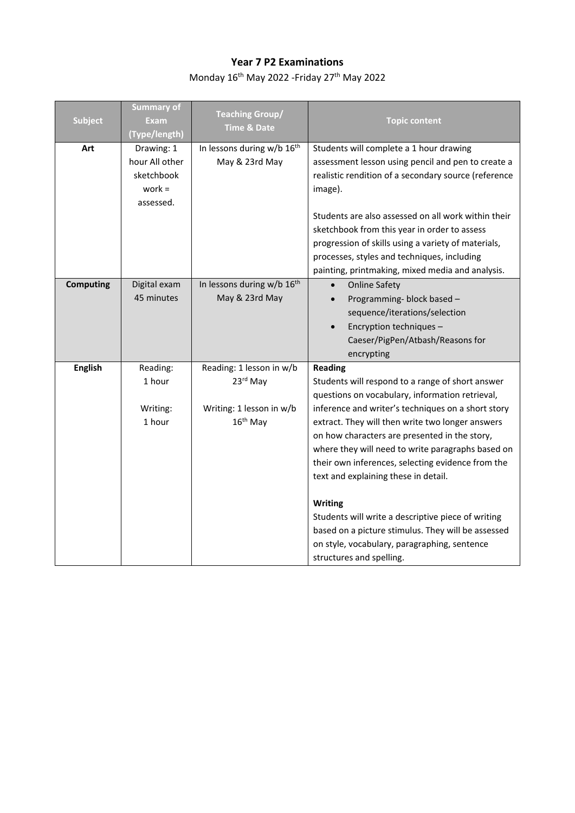## **Year 7 P2 Examinations**

Monday 16<sup>th</sup> May 2022 -Friday 27<sup>th</sup> May 2022

| <b>Subject</b>   | <b>Summary of</b><br><b>Exam</b><br>(Type/length)                   | <b>Teaching Group/</b><br><b>Time &amp; Date</b>         | <b>Topic content</b>                                                                                                                                                                                                                                                                                      |
|------------------|---------------------------------------------------------------------|----------------------------------------------------------|-----------------------------------------------------------------------------------------------------------------------------------------------------------------------------------------------------------------------------------------------------------------------------------------------------------|
| Art              | Drawing: 1<br>hour All other<br>sketchbook<br>work $=$<br>assessed. | In lessons during w/b 16 <sup>th</sup><br>May & 23rd May | Students will complete a 1 hour drawing<br>assessment lesson using pencil and pen to create a<br>realistic rendition of a secondary source (reference<br>image).                                                                                                                                          |
|                  |                                                                     |                                                          | Students are also assessed on all work within their<br>sketchbook from this year in order to assess<br>progression of skills using a variety of materials,<br>processes, styles and techniques, including<br>painting, printmaking, mixed media and analysis.                                             |
| <b>Computing</b> | Digital exam<br>45 minutes                                          | In lessons during w/b 16 <sup>th</sup><br>May & 23rd May | <b>Online Safety</b><br>$\bullet$<br>Programming- block based -<br>sequence/iterations/selection<br>Encryption techniques -<br>Caeser/PigPen/Atbash/Reasons for<br>encrypting                                                                                                                             |
| <b>English</b>   | Reading:<br>1 hour                                                  | Reading: 1 lesson in w/b<br>23rd May                     | <b>Reading</b><br>Students will respond to a range of short answer<br>questions on vocabulary, information retrieval,                                                                                                                                                                                     |
|                  | Writing:<br>1 hour                                                  | Writing: 1 lesson in w/b<br>16 <sup>th</sup> May         | inference and writer's techniques on a short story<br>extract. They will then write two longer answers<br>on how characters are presented in the story,<br>where they will need to write paragraphs based on<br>their own inferences, selecting evidence from the<br>text and explaining these in detail. |
|                  |                                                                     |                                                          | <b>Writing</b><br>Students will write a descriptive piece of writing<br>based on a picture stimulus. They will be assessed<br>on style, vocabulary, paragraphing, sentence<br>structures and spelling.                                                                                                    |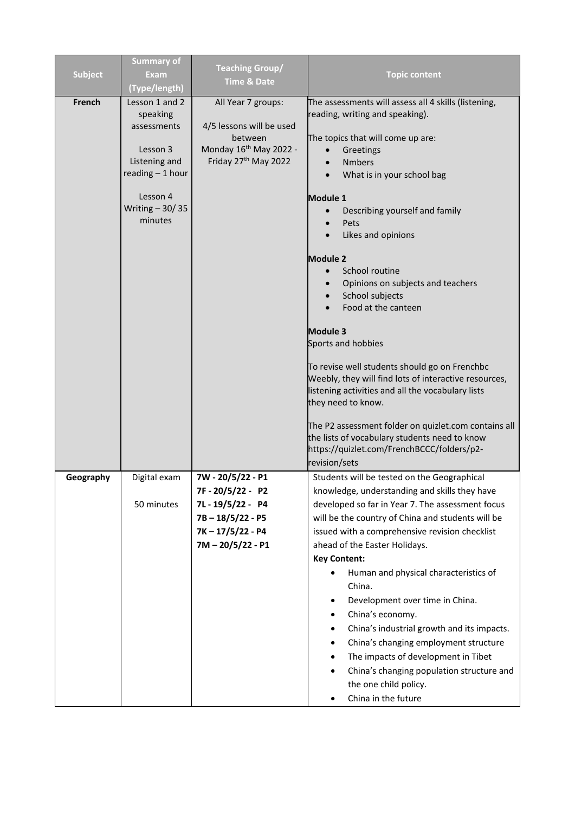| <b>Subject</b> | <b>Summary of</b><br><b>Exam</b><br>(Type/length)                                                                                     | <b>Teaching Group/</b><br><b>Time &amp; Date</b>                                                                        | <b>Topic content</b>                                                                                                                                                                                                                                                                                                                                                                                                                                                                                                                                                                                                                                                   |
|----------------|---------------------------------------------------------------------------------------------------------------------------------------|-------------------------------------------------------------------------------------------------------------------------|------------------------------------------------------------------------------------------------------------------------------------------------------------------------------------------------------------------------------------------------------------------------------------------------------------------------------------------------------------------------------------------------------------------------------------------------------------------------------------------------------------------------------------------------------------------------------------------------------------------------------------------------------------------------|
| French         | Lesson 1 and 2<br>speaking<br>assessments<br>Lesson 3<br>Listening and<br>reading - 1 hour<br>Lesson 4<br>Writing $-30/35$<br>minutes | All Year 7 groups:<br>4/5 lessons will be used<br>between<br>Monday 16 <sup>th</sup> May 2022 -<br>Friday 27th May 2022 | The assessments will assess all 4 skills (listening,<br>reading, writing and speaking).<br>The topics that will come up are:<br>Greetings<br><b>Nmbers</b><br>What is in your school bag<br>Module 1<br>Describing yourself and family<br>Pets<br>Likes and opinions                                                                                                                                                                                                                                                                                                                                                                                                   |
|                |                                                                                                                                       |                                                                                                                         | <b>Module 2</b><br>School routine<br>Opinions on subjects and teachers<br>School subjects<br>Food at the canteen<br><b>Module 3</b><br>Sports and hobbies<br>To revise well students should go on Frenchbc<br>Weebly, they will find lots of interactive resources,<br>listening activities and all the vocabulary lists<br>they need to know.<br>The P2 assessment folder on quizlet.com contains all<br>the lists of vocabulary students need to know<br>https://quizlet.com/FrenchBCCC/folders/p2-<br>revision/sets                                                                                                                                                 |
| Geography      | Digital exam<br>50 minutes                                                                                                            | 7W - 20/5/22 - P1<br>7F-20/5/22-P2<br>7L-19/5/22-P4<br>$7B - 18/5/22 - P5$<br>7K-17/5/22-P4<br>7M-20/5/22-P1            | Students will be tested on the Geographical<br>knowledge, understanding and skills they have<br>developed so far in Year 7. The assessment focus<br>will be the country of China and students will be<br>issued with a comprehensive revision checklist<br>ahead of the Easter Holidays.<br><b>Key Content:</b><br>Human and physical characteristics of<br>$\bullet$<br>China.<br>Development over time in China.<br>China's economy.<br>China's industrial growth and its impacts.<br>China's changing employment structure<br>٠<br>The impacts of development in Tibet<br>China's changing population structure and<br>the one child policy.<br>China in the future |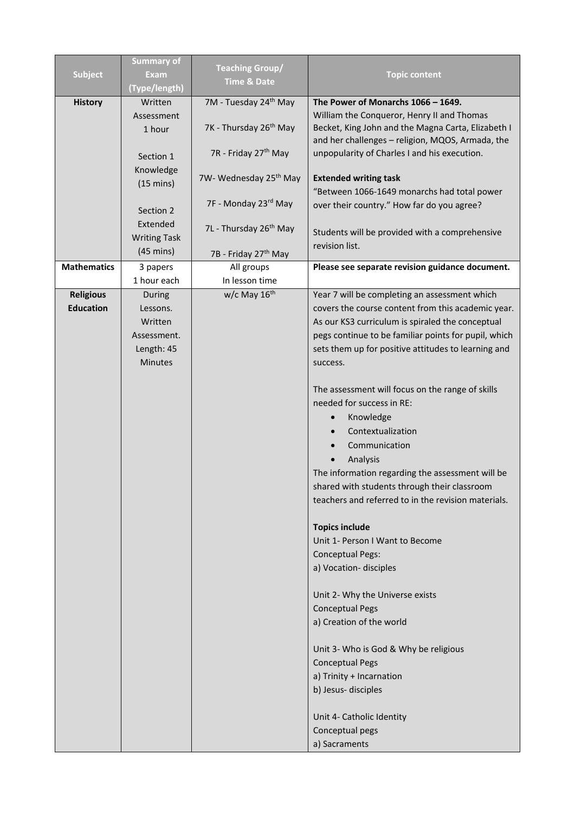|                    | <b>Summary of</b>   |                                    |                                                      |
|--------------------|---------------------|------------------------------------|------------------------------------------------------|
| <b>Subject</b>     | <b>Exam</b>         | <b>Teaching Group/</b>             | <b>Topic content</b>                                 |
|                    | (Type/length)       | <b>Time &amp; Date</b>             |                                                      |
| <b>History</b>     | Written             | 7M - Tuesday 24 <sup>th</sup> May  | The Power of Monarchs 1066 - 1649.                   |
|                    | Assessment          |                                    | William the Conqueror, Henry II and Thomas           |
|                    | 1 hour              | 7K - Thursday 26 <sup>th</sup> May | Becket, King John and the Magna Carta, Elizabeth I   |
|                    |                     |                                    | and her challenges - religion, MQOS, Armada, the     |
|                    | Section 1           | 7R - Friday 27 <sup>th</sup> May   | unpopularity of Charles I and his execution.         |
|                    | Knowledge           |                                    |                                                      |
|                    | $(15 \text{ mins})$ | 7W- Wednesday 25 <sup>th</sup> May | <b>Extended writing task</b>                         |
|                    |                     | 7F - Monday 23rd May               | "Between 1066-1649 monarchs had total power          |
|                    | Section 2           |                                    | over their country." How far do you agree?           |
|                    | Extended            | 7L - Thursday 26 <sup>th</sup> May |                                                      |
|                    | <b>Writing Task</b> |                                    | Students will be provided with a comprehensive       |
|                    | $(45 \text{ mins})$ | 7B - Friday 27 <sup>th</sup> May   | revision list.                                       |
| <b>Mathematics</b> | 3 papers            | All groups                         | Please see separate revision guidance document.      |
|                    | 1 hour each         | In lesson time                     |                                                      |
| <b>Religious</b>   | During              | w/c May 16 <sup>th</sup>           | Year 7 will be completing an assessment which        |
| <b>Education</b>   | Lessons.            |                                    | covers the course content from this academic year.   |
|                    | Written             |                                    | As our KS3 curriculum is spiraled the conceptual     |
|                    | Assessment.         |                                    | pegs continue to be familiar points for pupil, which |
|                    | Length: 45          |                                    | sets them up for positive attitudes to learning and  |
|                    | Minutes             |                                    | success.                                             |
|                    |                     |                                    |                                                      |
|                    |                     |                                    | The assessment will focus on the range of skills     |
|                    |                     |                                    | needed for success in RE:                            |
|                    |                     |                                    | Knowledge                                            |
|                    |                     |                                    | Contextualization                                    |
|                    |                     |                                    | Communication                                        |
|                    |                     |                                    | Analysis                                             |
|                    |                     |                                    | The information regarding the assessment will be     |
|                    |                     |                                    | shared with students through their classroom         |
|                    |                     |                                    | teachers and referred to in the revision materials.  |
|                    |                     |                                    |                                                      |
|                    |                     |                                    | <b>Topics include</b>                                |
|                    |                     |                                    | Unit 1- Person I Want to Become                      |
|                    |                     |                                    | <b>Conceptual Pegs:</b>                              |
|                    |                     |                                    | a) Vocation-disciples                                |
|                    |                     |                                    | Unit 2- Why the Universe exists                      |
|                    |                     |                                    | <b>Conceptual Pegs</b>                               |
|                    |                     |                                    | a) Creation of the world                             |
|                    |                     |                                    |                                                      |
|                    |                     |                                    | Unit 3- Who is God & Why be religious                |
|                    |                     |                                    | <b>Conceptual Pegs</b>                               |
|                    |                     |                                    | a) Trinity + Incarnation                             |
|                    |                     |                                    | b) Jesus-disciples                                   |
|                    |                     |                                    |                                                      |
|                    |                     |                                    | Unit 4- Catholic Identity                            |
|                    |                     |                                    | Conceptual pegs                                      |
|                    |                     |                                    | a) Sacraments                                        |